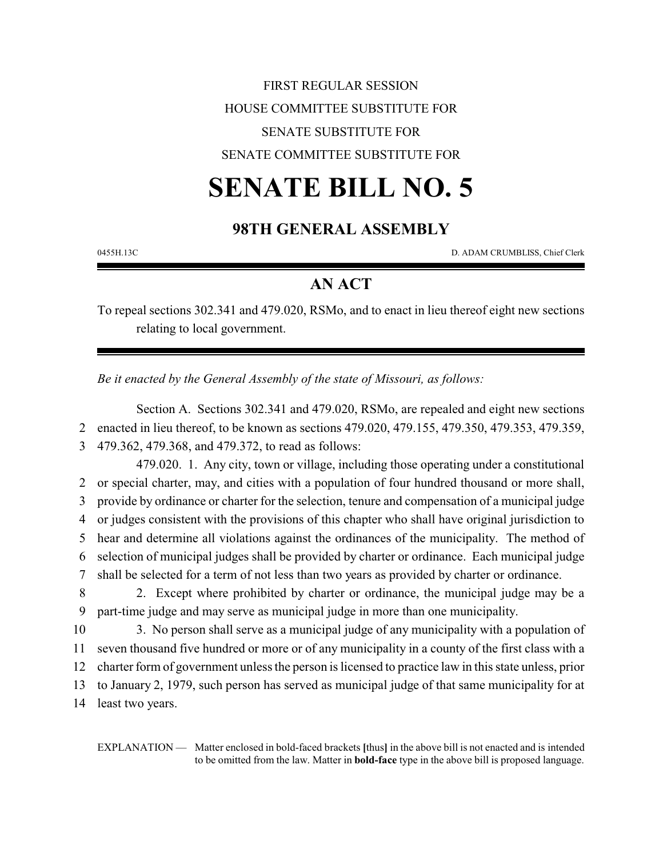# FIRST REGULAR SESSION HOUSE COMMITTEE SUBSTITUTE FOR SENATE SUBSTITUTE FOR SENATE COMMITTEE SUBSTITUTE FOR

# **SENATE BILL NO. 5**

## **98TH GENERAL ASSEMBLY**

0455H.13C D. ADAM CRUMBLISS, Chief Clerk

### **AN ACT**

To repeal sections 302.341 and 479.020, RSMo, and to enact in lieu thereof eight new sections relating to local government.

*Be it enacted by the General Assembly of the state of Missouri, as follows:*

Section A. Sections 302.341 and 479.020, RSMo, are repealed and eight new sections 2 enacted in lieu thereof, to be known as sections 479.020, 479.155, 479.350, 479.353, 479.359,

3 479.362, 479.368, and 479.372, to read as follows:

479.020. 1. Any city, town or village, including those operating under a constitutional or special charter, may, and cities with a population of four hundred thousand or more shall, provide by ordinance or charter for the selection, tenure and compensation of a municipal judge or judges consistent with the provisions of this chapter who shall have original jurisdiction to hear and determine all violations against the ordinances of the municipality. The method of selection of municipal judges shall be provided by charter or ordinance. Each municipal judge shall be selected for a term of not less than two years as provided by charter or ordinance.

8 2. Except where prohibited by charter or ordinance, the municipal judge may be a 9 part-time judge and may serve as municipal judge in more than one municipality.

 3. No person shall serve as a municipal judge of any municipality with a population of seven thousand five hundred or more or of any municipality in a county of the first class with a charter form of government unless the person is licensed to practice law in this state unless, prior to January 2, 1979, such person has served as municipal judge of that same municipality for at least two years.

EXPLANATION — Matter enclosed in bold-faced brackets **[**thus**]** in the above bill is not enacted and is intended to be omitted from the law. Matter in **bold-face** type in the above bill is proposed language.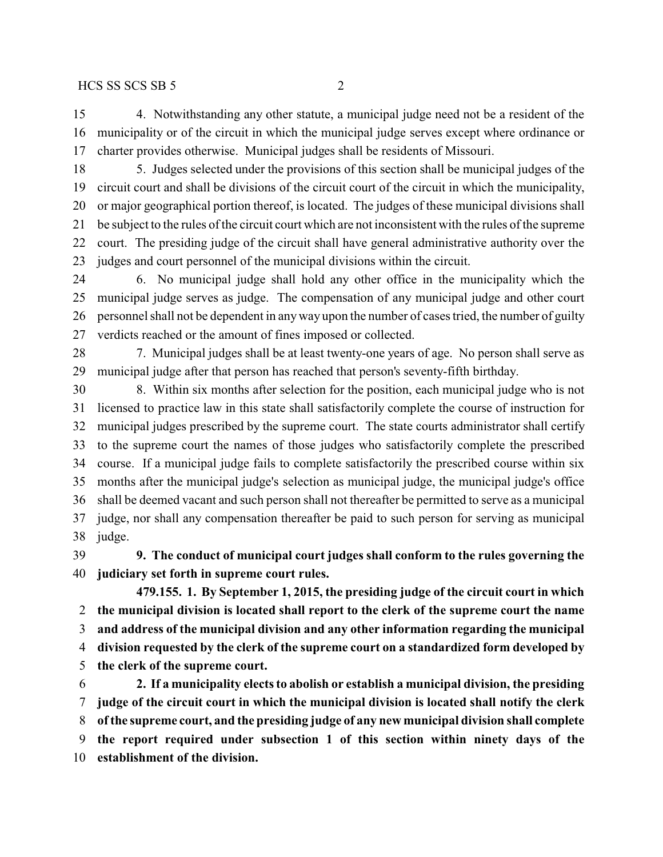4. Notwithstanding any other statute, a municipal judge need not be a resident of the municipality or of the circuit in which the municipal judge serves except where ordinance or charter provides otherwise. Municipal judges shall be residents of Missouri.

 5. Judges selected under the provisions of this section shall be municipal judges of the circuit court and shall be divisions of the circuit court of the circuit in which the municipality, or major geographical portion thereof, is located. The judges of these municipal divisions shall be subject to the rules of the circuit court which are not inconsistent with the rules of the supreme court. The presiding judge of the circuit shall have general administrative authority over the judges and court personnel of the municipal divisions within the circuit.

 6. No municipal judge shall hold any other office in the municipality which the municipal judge serves as judge. The compensation of any municipal judge and other court personnel shall not be dependent in anyway upon the number of cases tried, the number of guilty verdicts reached or the amount of fines imposed or collected.

 7. Municipal judges shall be at least twenty-one years of age. No person shall serve as municipal judge after that person has reached that person's seventy-fifth birthday.

 8. Within six months after selection for the position, each municipal judge who is not licensed to practice law in this state shall satisfactorily complete the course of instruction for municipal judges prescribed by the supreme court. The state courts administrator shall certify to the supreme court the names of those judges who satisfactorily complete the prescribed course. If a municipal judge fails to complete satisfactorily the prescribed course within six months after the municipal judge's selection as municipal judge, the municipal judge's office shall be deemed vacant and such person shall not thereafter be permitted to serve as a municipal judge, nor shall any compensation thereafter be paid to such person for serving as municipal judge.

 **9. The conduct of municipal court judges shall conform to the rules governing the judiciary set forth in supreme court rules.**

**479.155. 1. By September 1, 2015, the presiding judge of the circuit court in which the municipal division is located shall report to the clerk of the supreme court the name and address of the municipal division and any other information regarding the municipal division requested by the clerk of the supreme court on a standardized form developed by the clerk of the supreme court.**

 **2. If a municipality elects to abolish or establish a municipal division, the presiding judge of the circuit court in which the municipal division is located shall notify the clerk of the supreme court, and the presiding judge of any new municipal division shall complete the report required under subsection 1 of this section within ninety days of the establishment of the division.**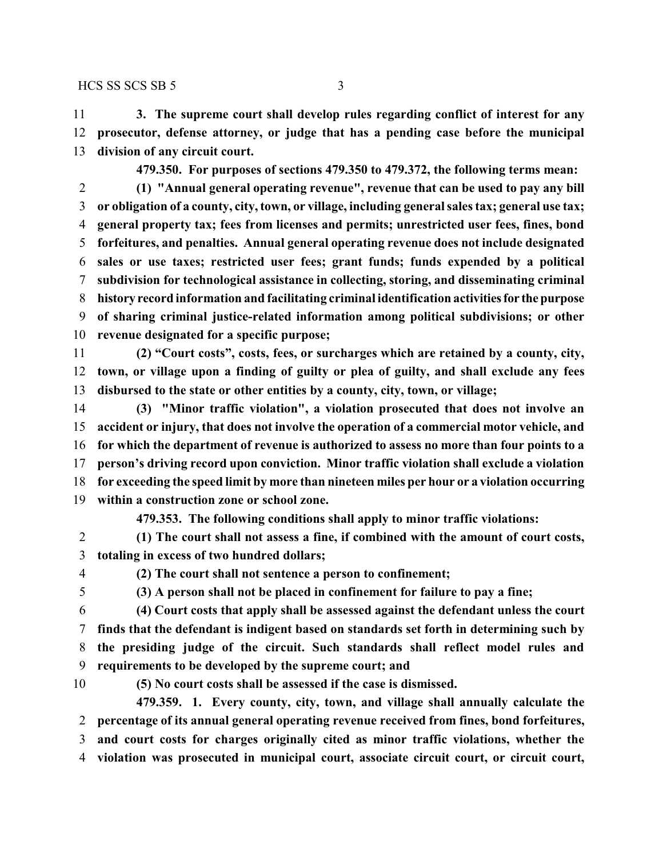#### $HCS$  SS SCS SB 5 3

 **3. The supreme court shall develop rules regarding conflict of interest for any prosecutor, defense attorney, or judge that has a pending case before the municipal division of any circuit court.**

**479.350. For purposes of sections 479.350 to 479.372, the following terms mean:**

 **(1) "Annual general operating revenue", revenue that can be used to pay any bill or obligation of a county, city, town, or village, including general sales tax; general use tax; general property tax; fees from licenses and permits; unrestricted user fees, fines, bond forfeitures, and penalties. Annual general operating revenue does not include designated sales or use taxes; restricted user fees; grant funds; funds expended by a political subdivision for technological assistance in collecting, storing, and disseminating criminal history record information and facilitating criminal identification activitiesfor thepurpose of sharing criminal justice-related information among political subdivisions; or other revenue designated for a specific purpose;**

 **(2) "Court costs", costs, fees, or surcharges which are retained by a county, city, town, or village upon a finding of guilty or plea of guilty, and shall exclude any fees disbursed to the state or other entities by a county, city, town, or village;**

 **(3) "Minor traffic violation", a violation prosecuted that does not involve an accident or injury, that does not involve the operation of a commercial motor vehicle, and for which the department of revenue is authorized to assess no more than four points to a person's driving record upon conviction. Minor traffic violation shall exclude a violation for exceeding the speed limit by more than nineteen miles per hour or a violation occurring within a construction zone or school zone.**

**479.353. The following conditions shall apply to minor traffic violations:**

- **(1) The court shall not assess a fine, if combined with the amount of court costs, totaling in excess of two hundred dollars;**
- 

**(2) The court shall not sentence a person to confinement;**

**(3) A person shall not be placed in confinement for failure to pay a fine;**

 **(4) Court costs that apply shall be assessed against the defendant unless the court finds that the defendant is indigent based on standards set forth in determining such by the presiding judge of the circuit. Such standards shall reflect model rules and requirements to be developed by the supreme court; and**

**(5) No court costs shall be assessed if the case is dismissed.**

**479.359. 1. Every county, city, town, and village shall annually calculate the percentage of its annual general operating revenue received from fines, bond forfeitures, and court costs for charges originally cited as minor traffic violations, whether the violation was prosecuted in municipal court, associate circuit court, or circuit court,**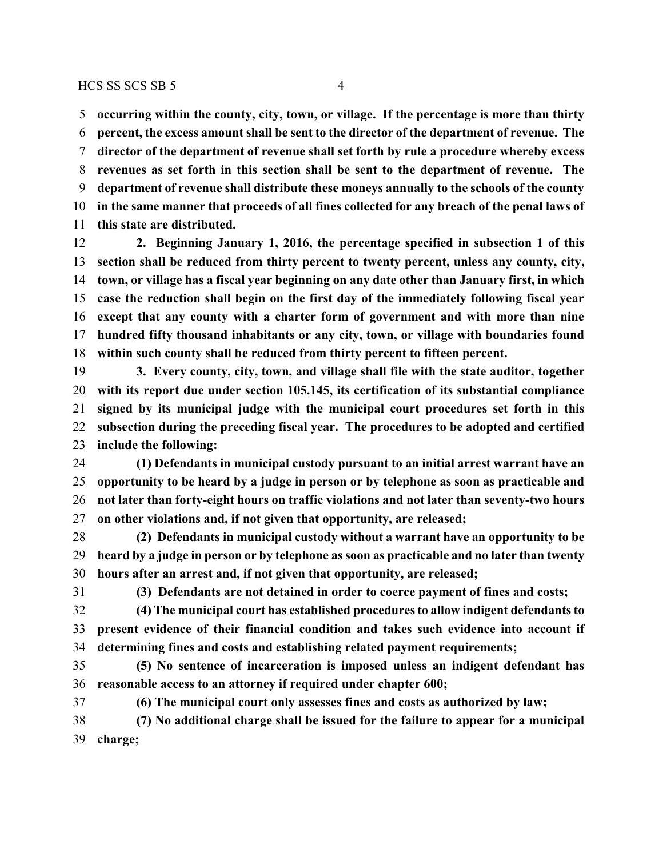**occurring within the county, city, town, or village. If the percentage is more than thirty percent, the excess amount shall be sent to the director of the department of revenue. The director of the department of revenue shall set forth by rule a procedure whereby excess revenues as set forth in this section shall be sent to the department of revenue. The department of revenue shall distribute these moneys annually to the schools of the county in the same manner that proceeds of all fines collected for any breach of the penal laws of this state are distributed.**

 **2. Beginning January 1, 2016, the percentage specified in subsection 1 of this section shall be reduced from thirty percent to twenty percent, unless any county, city, town, or village has a fiscal year beginning on any date other than January first, in which case the reduction shall begin on the first day of the immediately following fiscal year except that any county with a charter form of government and with more than nine hundred fifty thousand inhabitants or any city, town, or village with boundaries found within such county shall be reduced from thirty percent to fifteen percent.**

 **3. Every county, city, town, and village shall file with the state auditor, together with its report due under section 105.145, its certification of its substantial compliance signed by its municipal judge with the municipal court procedures set forth in this subsection during the preceding fiscal year. The procedures to be adopted and certified include the following:**

 **(1) Defendants in municipal custody pursuant to an initial arrest warrant have an opportunity to be heard by a judge in person or by telephone as soon as practicable and not later than forty-eight hours on traffic violations and not later than seventy-two hours on other violations and, if not given that opportunity, are released;**

 **(2) Defendants in municipal custody without a warrant have an opportunity to be heard by a judge in person or by telephone as soon as practicable and no later than twenty hours after an arrest and, if not given that opportunity, are released;**

**(3) Defendants are not detained in order to coerce payment of fines and costs;**

 **(4) The municipal court has established procedures to allow indigent defendants to present evidence of their financial condition and takes such evidence into account if determining fines and costs and establishing related payment requirements;**

 **(5) No sentence of incarceration is imposed unless an indigent defendant has reasonable access to an attorney if required under chapter 600;**

**(6) The municipal court only assesses fines and costs as authorized by law;**

 **(7) No additional charge shall be issued for the failure to appear for a municipal charge;**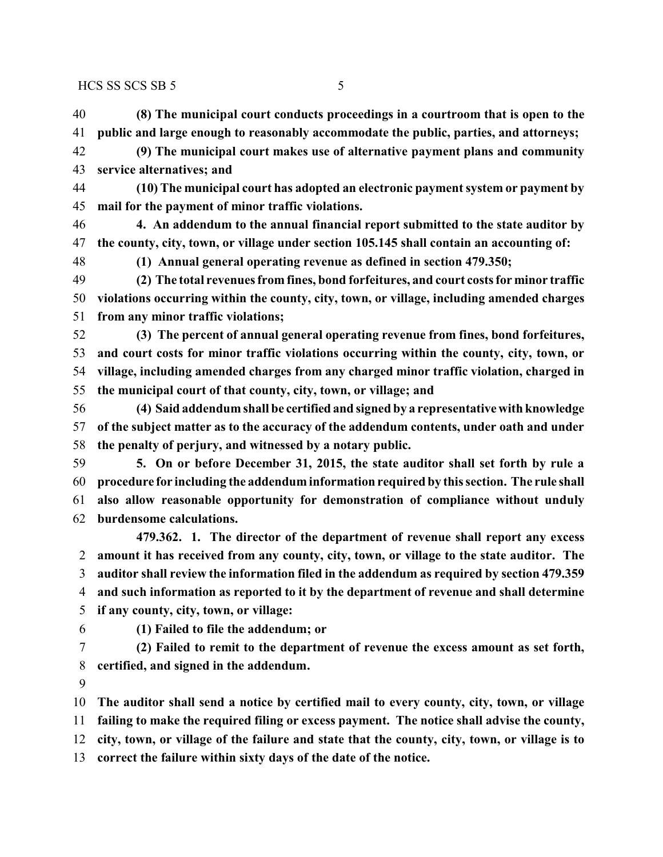HCS SS SCS SB 5 5

 **(8) The municipal court conducts proceedings in a courtroom that is open to the public and large enough to reasonably accommodate the public, parties, and attorneys;**

 **(9) The municipal court makes use of alternative payment plans and community service alternatives; and**

 **(10) The municipal court has adopted an electronic payment system or payment by mail for the payment of minor traffic violations.**

 **4. An addendum to the annual financial report submitted to the state auditor by the county, city, town, or village under section 105.145 shall contain an accounting of:**

**(1) Annual general operating revenue as defined in section 479.350;**

 **(2) The total revenues from fines, bond forfeitures, and court costs for minor traffic violations occurring within the county, city, town, or village, including amended charges from any minor traffic violations;**

 **(3) The percent of annual general operating revenue from fines, bond forfeitures, and court costs for minor traffic violations occurring within the county, city, town, or village, including amended charges from any charged minor traffic violation, charged in the municipal court of that county, city, town, or village; and**

 **(4) Said addendum shall be certified and signed by a representative with knowledge of the subject matter as to the accuracy of the addendum contents, under oath and under the penalty of perjury, and witnessed by a notary public.**

 **5. On or before December 31, 2015, the state auditor shall set forth by rule a procedure for including the addendum information required by this section. The rule shall also allow reasonable opportunity for demonstration of compliance without unduly burdensome calculations.**

**479.362. 1. The director of the department of revenue shall report any excess amount it has received from any county, city, town, or village to the state auditor. The auditor shall review the information filed in the addendum as required by section 479.359 and such information as reported to it by the department of revenue and shall determine if any county, city, town, or village:**

**(1) Failed to file the addendum; or**

 **(2) Failed to remit to the department of revenue the excess amount as set forth, certified, and signed in the addendum.**

**The auditor shall send a notice by certified mail to every county, city, town, or village**

**failing to make the required filing or excess payment. The notice shall advise the county,**

**city, town, or village of the failure and state that the county, city, town, or village is to**

**correct the failure within sixty days of the date of the notice.**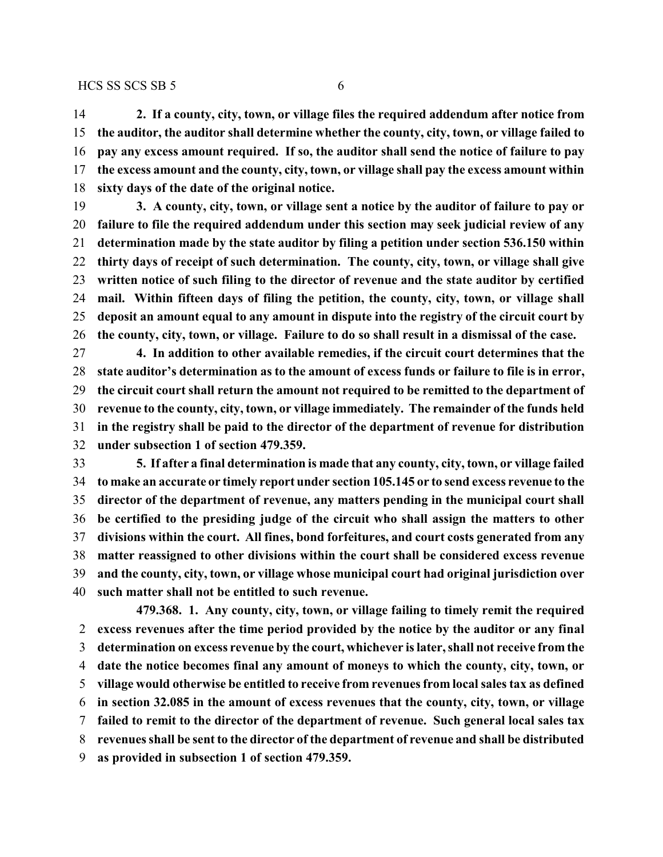**2. If a county, city, town, or village files the required addendum after notice from the auditor, the auditor shall determine whether the county, city, town, or village failed to pay any excess amount required. If so, the auditor shall send the notice of failure to pay the excess amount and the county, city, town, or village shall pay the excess amount within sixty days of the date of the original notice.**

 **3. A county, city, town, or village sent a notice by the auditor of failure to pay or failure to file the required addendum under this section may seek judicial review of any determination made by the state auditor by filing a petition under section 536.150 within thirty days of receipt of such determination. The county, city, town, or village shall give written notice of such filing to the director of revenue and the state auditor by certified mail. Within fifteen days of filing the petition, the county, city, town, or village shall deposit an amount equal to any amount in dispute into the registry of the circuit court by the county, city, town, or village. Failure to do so shall result in a dismissal of the case.**

 **4. In addition to other available remedies, if the circuit court determines that the state auditor's determination as to the amount of excess funds or failure to file is in error, the circuit court shall return the amount not required to be remitted to the department of revenue to the county, city, town, or village immediately. The remainder of the funds held in the registry shall be paid to the director of the department of revenue for distribution under subsection 1 of section 479.359.**

 **5. If after a final determination is made that any county, city, town, or village failed to make an accurate or timely report under section 105.145 or to send excess revenue to the director of the department of revenue, any matters pending in the municipal court shall be certified to the presiding judge of the circuit who shall assign the matters to other divisions within the court. All fines, bond forfeitures, and court costs generated from any matter reassigned to other divisions within the court shall be considered excess revenue and the county, city, town, or village whose municipal court had original jurisdiction over such matter shall not be entitled to such revenue.**

**479.368. 1. Any county, city, town, or village failing to timely remit the required excess revenues after the time period provided by the notice by the auditor or any final determination on excess revenue by the court, whichever is later, shall not receive from the date the notice becomes final any amount of moneys to which the county, city, town, or village would otherwise be entitled to receive from revenues from local sales tax as defined in section 32.085 in the amount of excess revenues that the county, city, town, or village failed to remit to the director of the department of revenue. Such general local sales tax revenues shall be sent to the director of the department of revenue and shall be distributed as provided in subsection 1 of section 479.359.**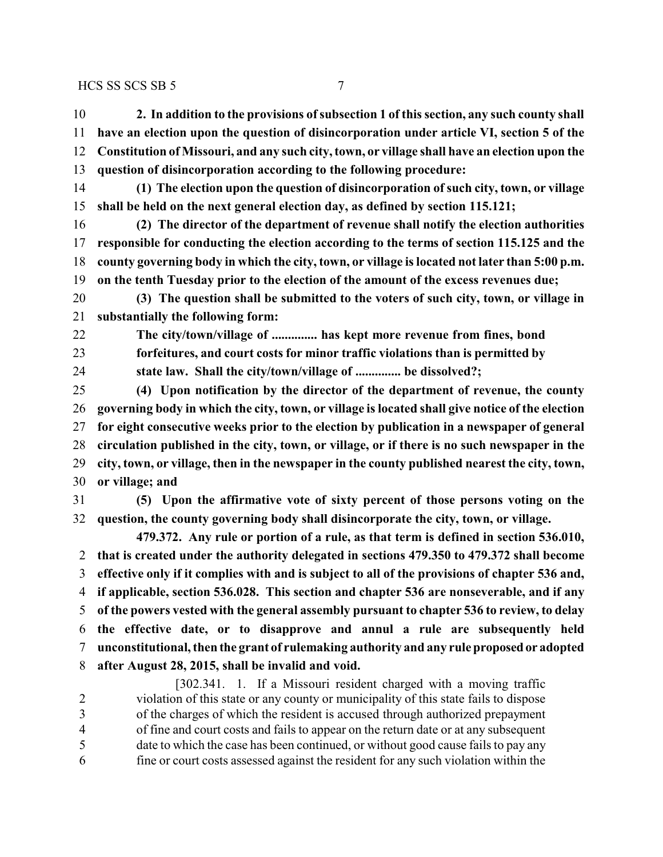#### $HCS$  SS SCS SB 5 7 7

- **2. In addition to the provisions ofsubsection 1 of this section, any such county shall have an election upon the question of disincorporation under article VI, section 5 of the Constitution of Missouri, and any such city, town, or village shall have an election upon the question of disincorporation according to the following procedure:**
- **(1) The election upon the question of disincorporation of such city, town, or village shall be held on the next general election day, as defined by section 115.121;**
- **(2) The director of the department of revenue shall notify the election authorities responsible for conducting the election according to the terms of section 115.125 and the county governing body in which the city, town, or village is located not later than 5:00 p.m. on the tenth Tuesday prior to the election of the amount of the excess revenues due;**

 **(3) The question shall be submitted to the voters of such city, town, or village in substantially the following form:**

- **The city/town/village of .............. has kept more revenue from fines, bond forfeitures, and court costs for minor traffic violations than is permitted by**
- **state law. Shall the city/town/village of .............. be dissolved?;**

 **(4) Upon notification by the director of the department of revenue, the county governing body in which the city, town, or village is located shall give notice of the election for eight consecutive weeks prior to the election by publication in a newspaper of general circulation published in the city, town, or village, or if there is no such newspaper in the city, town, or village, then in the newspaper in the county published nearest the city, town, or village; and**

 **(5) Upon the affirmative vote of sixty percent of those persons voting on the question, the county governing body shall disincorporate the city, town, or village.**

**479.372. Any rule or portion of a rule, as that term is defined in section 536.010, that is created under the authority delegated in sections 479.350 to 479.372 shall become effective only if it complies with and is subject to all of the provisions of chapter 536 and, if applicable, section 536.028. This section and chapter 536 are nonseverable, and if any of the powers vested with the general assembly pursuant to chapter 536 to review, to delay the effective date, or to disapprove and annul a rule are subsequently held unconstitutional, then the grant of rulemaking authority and any rule proposedor adopted after August 28, 2015, shall be invalid and void.**

[302.341. 1. If a Missouri resident charged with a moving traffic violation of this state or any county or municipality of this state fails to dispose of the charges of which the resident is accused through authorized prepayment of fine and court costs and fails to appear on the return date or at any subsequent date to which the case has been continued, or without good cause fails to pay any fine or court costs assessed against the resident for any such violation within the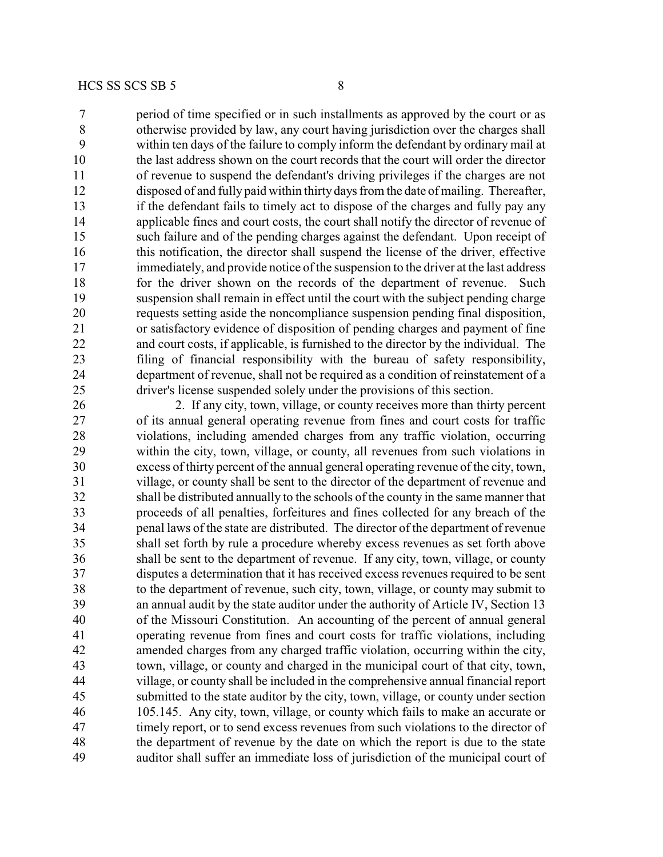period of time specified or in such installments as approved by the court or as otherwise provided by law, any court having jurisdiction over the charges shall within ten days of the failure to comply inform the defendant by ordinary mail at the last address shown on the court records that the court will order the director of revenue to suspend the defendant's driving privileges if the charges are not disposed of and fully paid within thirty days from the date of mailing. Thereafter, if the defendant fails to timely act to dispose of the charges and fully pay any applicable fines and court costs, the court shall notify the director of revenue of such failure and of the pending charges against the defendant. Upon receipt of this notification, the director shall suspend the license of the driver, effective immediately, and provide notice of the suspension to the driver at the last address 18 for the driver shown on the records of the department of revenue. Such suspension shall remain in effect until the court with the subject pending charge requests setting aside the noncompliance suspension pending final disposition, or satisfactory evidence of disposition of pending charges and payment of fine and court costs, if applicable, is furnished to the director by the individual. The filing of financial responsibility with the bureau of safety responsibility, department of revenue, shall not be required as a condition of reinstatement of a driver's license suspended solely under the provisions of this section.

 2. If any city, town, village, or county receives more than thirty percent of its annual general operating revenue from fines and court costs for traffic violations, including amended charges from any traffic violation, occurring within the city, town, village, or county, all revenues from such violations in excess of thirty percent of the annual general operating revenue of the city, town, village, or county shall be sent to the director of the department of revenue and shall be distributed annually to the schools of the county in the same manner that proceeds of all penalties, forfeitures and fines collected for any breach of the penal laws of the state are distributed. The director of the department of revenue shall set forth by rule a procedure whereby excess revenues as set forth above shall be sent to the department of revenue. If any city, town, village, or county disputes a determination that it has received excess revenues required to be sent to the department of revenue, such city, town, village, or county may submit to an annual audit by the state auditor under the authority of Article IV, Section 13 of the Missouri Constitution. An accounting of the percent of annual general operating revenue from fines and court costs for traffic violations, including amended charges from any charged traffic violation, occurring within the city, town, village, or county and charged in the municipal court of that city, town, village, or county shall be included in the comprehensive annual financial report submitted to the state auditor by the city, town, village, or county under section 105.145. Any city, town, village, or county which fails to make an accurate or timely report, or to send excess revenues from such violations to the director of the department of revenue by the date on which the report is due to the state auditor shall suffer an immediate loss of jurisdiction of the municipal court of